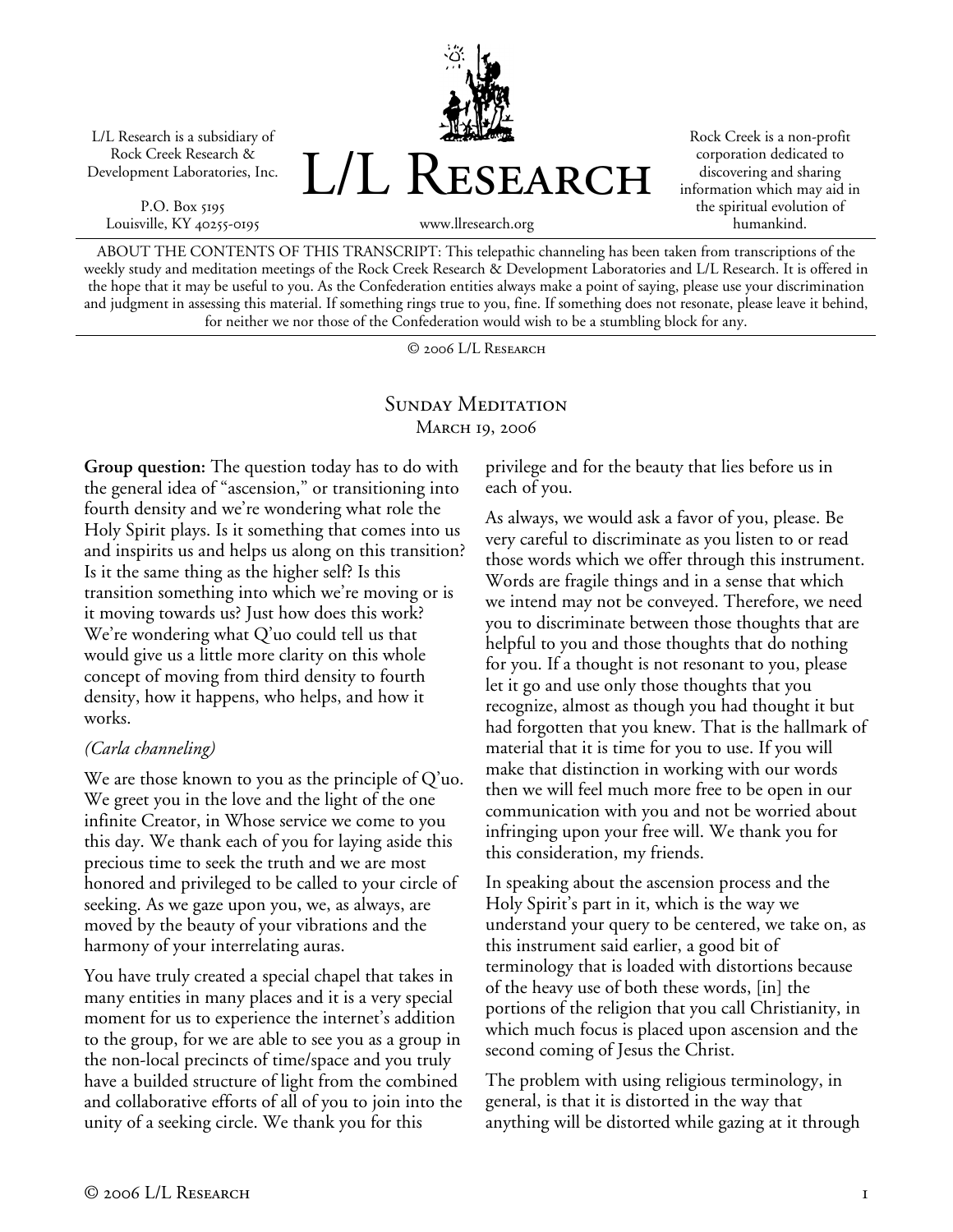L/L Research is a subsidiary of Rock Creek Research & Development Laboratories, Inc.

P.O. Box 5195 Louisville, KY 40255-0195



Rock Creek is a non-profit corporation dedicated to discovering and sharing information which may aid in the spiritual evolution of humankind.

www.llresearch.org

ABOUT THE CONTENTS OF THIS TRANSCRIPT: This telepathic channeling has been taken from transcriptions of the weekly study and meditation meetings of the Rock Creek Research & Development Laboratories and L/L Research. It is offered in the hope that it may be useful to you. As the Confederation entities always make a point of saying, please use your discrimination and judgment in assessing this material. If something rings true to you, fine. If something does not resonate, please leave it behind, for neither we nor those of the Confederation would wish to be a stumbling block for any.

© 2006 L/L Research

## SUNDAY MEDITATION MARCH 19, 2006

**Group question:** The question today has to do with the general idea of "ascension," or transitioning into fourth density and we're wondering what role the Holy Spirit plays. Is it something that comes into us and inspirits us and helps us along on this transition? Is it the same thing as the higher self? Is this transition something into which we're moving or is it moving towards us? Just how does this work? We're wondering what Q'uo could tell us that would give us a little more clarity on this whole concept of moving from third density to fourth density, how it happens, who helps, and how it works.

## *(Carla channeling)*

We are those known to you as the principle of Q'uo. We greet you in the love and the light of the one infinite Creator, in Whose service we come to you this day. We thank each of you for laying aside this precious time to seek the truth and we are most honored and privileged to be called to your circle of seeking. As we gaze upon you, we, as always, are moved by the beauty of your vibrations and the harmony of your interrelating auras.

You have truly created a special chapel that takes in many entities in many places and it is a very special moment for us to experience the internet's addition to the group, for we are able to see you as a group in the non-local precincts of time/space and you truly have a builded structure of light from the combined and collaborative efforts of all of you to join into the unity of a seeking circle. We thank you for this

privilege and for the beauty that lies before us in each of you.

As always, we would ask a favor of you, please. Be very careful to discriminate as you listen to or read those words which we offer through this instrument. Words are fragile things and in a sense that which we intend may not be conveyed. Therefore, we need you to discriminate between those thoughts that are helpful to you and those thoughts that do nothing for you. If a thought is not resonant to you, please let it go and use only those thoughts that you recognize, almost as though you had thought it but had forgotten that you knew. That is the hallmark of material that it is time for you to use. If you will make that distinction in working with our words then we will feel much more free to be open in our communication with you and not be worried about infringing upon your free will. We thank you for this consideration, my friends.

In speaking about the ascension process and the Holy Spirit's part in it, which is the way we understand your query to be centered, we take on, as this instrument said earlier, a good bit of terminology that is loaded with distortions because of the heavy use of both these words, [in] the portions of the religion that you call Christianity, in which much focus is placed upon ascension and the second coming of Jesus the Christ.

The problem with using religious terminology, in general, is that it is distorted in the way that anything will be distorted while gazing at it through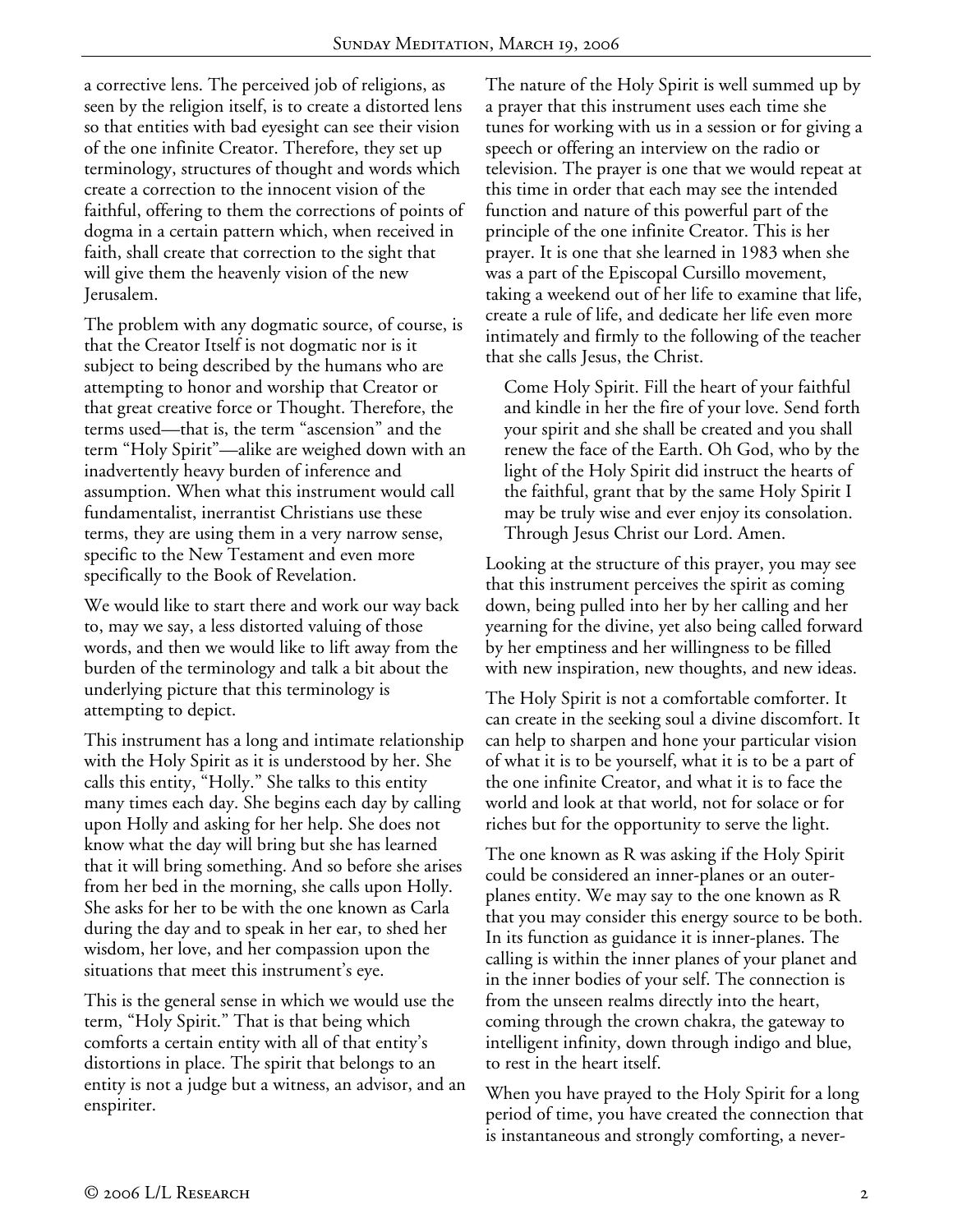a corrective lens. The perceived job of religions, as seen by the religion itself, is to create a distorted lens so that entities with bad eyesight can see their vision of the one infinite Creator. Therefore, they set up terminology, structures of thought and words which create a correction to the innocent vision of the faithful, offering to them the corrections of points of dogma in a certain pattern which, when received in faith, shall create that correction to the sight that will give them the heavenly vision of the new Jerusalem.

The problem with any dogmatic source, of course, is that the Creator Itself is not dogmatic nor is it subject to being described by the humans who are attempting to honor and worship that Creator or that great creative force or Thought. Therefore, the terms used—that is, the term "ascension" and the term "Holy Spirit"—alike are weighed down with an inadvertently heavy burden of inference and assumption. When what this instrument would call fundamentalist, inerrantist Christians use these terms, they are using them in a very narrow sense, specific to the New Testament and even more specifically to the Book of Revelation.

We would like to start there and work our way back to, may we say, a less distorted valuing of those words, and then we would like to lift away from the burden of the terminology and talk a bit about the underlying picture that this terminology is attempting to depict.

This instrument has a long and intimate relationship with the Holy Spirit as it is understood by her. She calls this entity, "Holly." She talks to this entity many times each day. She begins each day by calling upon Holly and asking for her help. She does not know what the day will bring but she has learned that it will bring something. And so before she arises from her bed in the morning, she calls upon Holly. She asks for her to be with the one known as Carla during the day and to speak in her ear, to shed her wisdom, her love, and her compassion upon the situations that meet this instrument's eye.

This is the general sense in which we would use the term, "Holy Spirit." That is that being which comforts a certain entity with all of that entity's distortions in place. The spirit that belongs to an entity is not a judge but a witness, an advisor, and an enspiriter.

The nature of the Holy Spirit is well summed up by a prayer that this instrument uses each time she tunes for working with us in a session or for giving a speech or offering an interview on the radio or television. The prayer is one that we would repeat at this time in order that each may see the intended function and nature of this powerful part of the principle of the one infinite Creator. This is her prayer. It is one that she learned in 1983 when she was a part of the Episcopal Cursillo movement, taking a weekend out of her life to examine that life, create a rule of life, and dedicate her life even more intimately and firmly to the following of the teacher that she calls Jesus, the Christ.

Come Holy Spirit. Fill the heart of your faithful and kindle in her the fire of your love. Send forth your spirit and she shall be created and you shall renew the face of the Earth. Oh God, who by the light of the Holy Spirit did instruct the hearts of the faithful, grant that by the same Holy Spirit I may be truly wise and ever enjoy its consolation. Through Jesus Christ our Lord. Amen.

Looking at the structure of this prayer, you may see that this instrument perceives the spirit as coming down, being pulled into her by her calling and her yearning for the divine, yet also being called forward by her emptiness and her willingness to be filled with new inspiration, new thoughts, and new ideas.

The Holy Spirit is not a comfortable comforter. It can create in the seeking soul a divine discomfort. It can help to sharpen and hone your particular vision of what it is to be yourself, what it is to be a part of the one infinite Creator, and what it is to face the world and look at that world, not for solace or for riches but for the opportunity to serve the light.

The one known as R was asking if the Holy Spirit could be considered an inner-planes or an outerplanes entity. We may say to the one known as R that you may consider this energy source to be both. In its function as guidance it is inner-planes. The calling is within the inner planes of your planet and in the inner bodies of your self. The connection is from the unseen realms directly into the heart, coming through the crown chakra, the gateway to intelligent infinity, down through indigo and blue, to rest in the heart itself.

When you have prayed to the Holy Spirit for a long period of time, you have created the connection that is instantaneous and strongly comforting, a never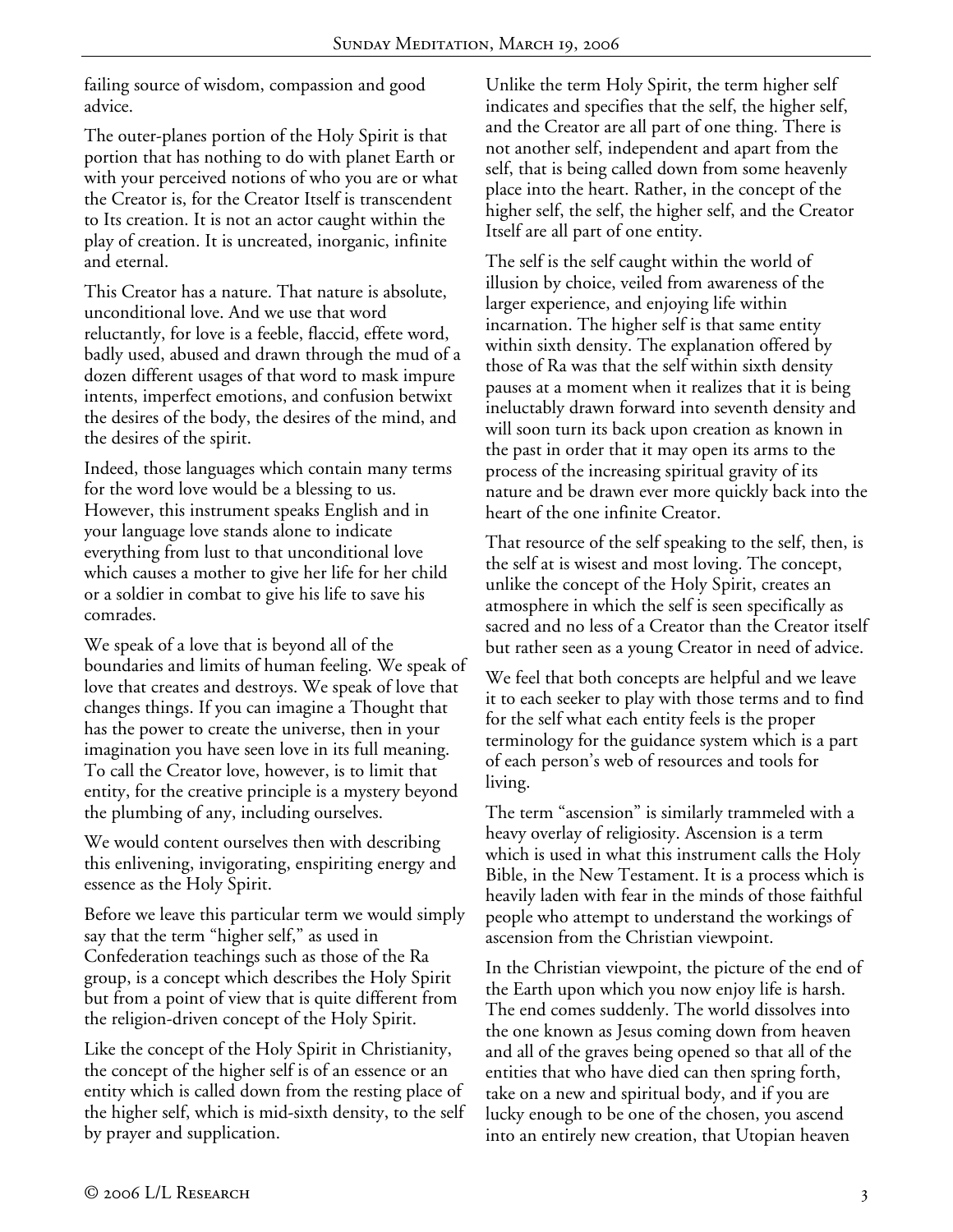failing source of wisdom, compassion and good advice.

The outer-planes portion of the Holy Spirit is that portion that has nothing to do with planet Earth or with your perceived notions of who you are or what the Creator is, for the Creator Itself is transcendent to Its creation. It is not an actor caught within the play of creation. It is uncreated, inorganic, infinite and eternal.

This Creator has a nature. That nature is absolute, unconditional love. And we use that word reluctantly, for love is a feeble, flaccid, effete word, badly used, abused and drawn through the mud of a dozen different usages of that word to mask impure intents, imperfect emotions, and confusion betwixt the desires of the body, the desires of the mind, and the desires of the spirit.

Indeed, those languages which contain many terms for the word love would be a blessing to us. However, this instrument speaks English and in your language love stands alone to indicate everything from lust to that unconditional love which causes a mother to give her life for her child or a soldier in combat to give his life to save his comrades.

We speak of a love that is beyond all of the boundaries and limits of human feeling. We speak of love that creates and destroys. We speak of love that changes things. If you can imagine a Thought that has the power to create the universe, then in your imagination you have seen love in its full meaning. To call the Creator love, however, is to limit that entity, for the creative principle is a mystery beyond the plumbing of any, including ourselves.

We would content ourselves then with describing this enlivening, invigorating, enspiriting energy and essence as the Holy Spirit.

Before we leave this particular term we would simply say that the term "higher self," as used in Confederation teachings such as those of the Ra group, is a concept which describes the Holy Spirit but from a point of view that is quite different from the religion-driven concept of the Holy Spirit.

Like the concept of the Holy Spirit in Christianity, the concept of the higher self is of an essence or an entity which is called down from the resting place of the higher self, which is mid-sixth density, to the self by prayer and supplication.

Unlike the term Holy Spirit, the term higher self indicates and specifies that the self, the higher self, and the Creator are all part of one thing. There is not another self, independent and apart from the self, that is being called down from some heavenly place into the heart. Rather, in the concept of the higher self, the self, the higher self, and the Creator Itself are all part of one entity.

The self is the self caught within the world of illusion by choice, veiled from awareness of the larger experience, and enjoying life within incarnation. The higher self is that same entity within sixth density. The explanation offered by those of Ra was that the self within sixth density pauses at a moment when it realizes that it is being ineluctably drawn forward into seventh density and will soon turn its back upon creation as known in the past in order that it may open its arms to the process of the increasing spiritual gravity of its nature and be drawn ever more quickly back into the heart of the one infinite Creator.

That resource of the self speaking to the self, then, is the self at is wisest and most loving. The concept, unlike the concept of the Holy Spirit, creates an atmosphere in which the self is seen specifically as sacred and no less of a Creator than the Creator itself but rather seen as a young Creator in need of advice.

We feel that both concepts are helpful and we leave it to each seeker to play with those terms and to find for the self what each entity feels is the proper terminology for the guidance system which is a part of each person's web of resources and tools for living.

The term "ascension" is similarly trammeled with a heavy overlay of religiosity. Ascension is a term which is used in what this instrument calls the Holy Bible, in the New Testament. It is a process which is heavily laden with fear in the minds of those faithful people who attempt to understand the workings of ascension from the Christian viewpoint.

In the Christian viewpoint, the picture of the end of the Earth upon which you now enjoy life is harsh. The end comes suddenly. The world dissolves into the one known as Jesus coming down from heaven and all of the graves being opened so that all of the entities that who have died can then spring forth, take on a new and spiritual body, and if you are lucky enough to be one of the chosen, you ascend into an entirely new creation, that Utopian heaven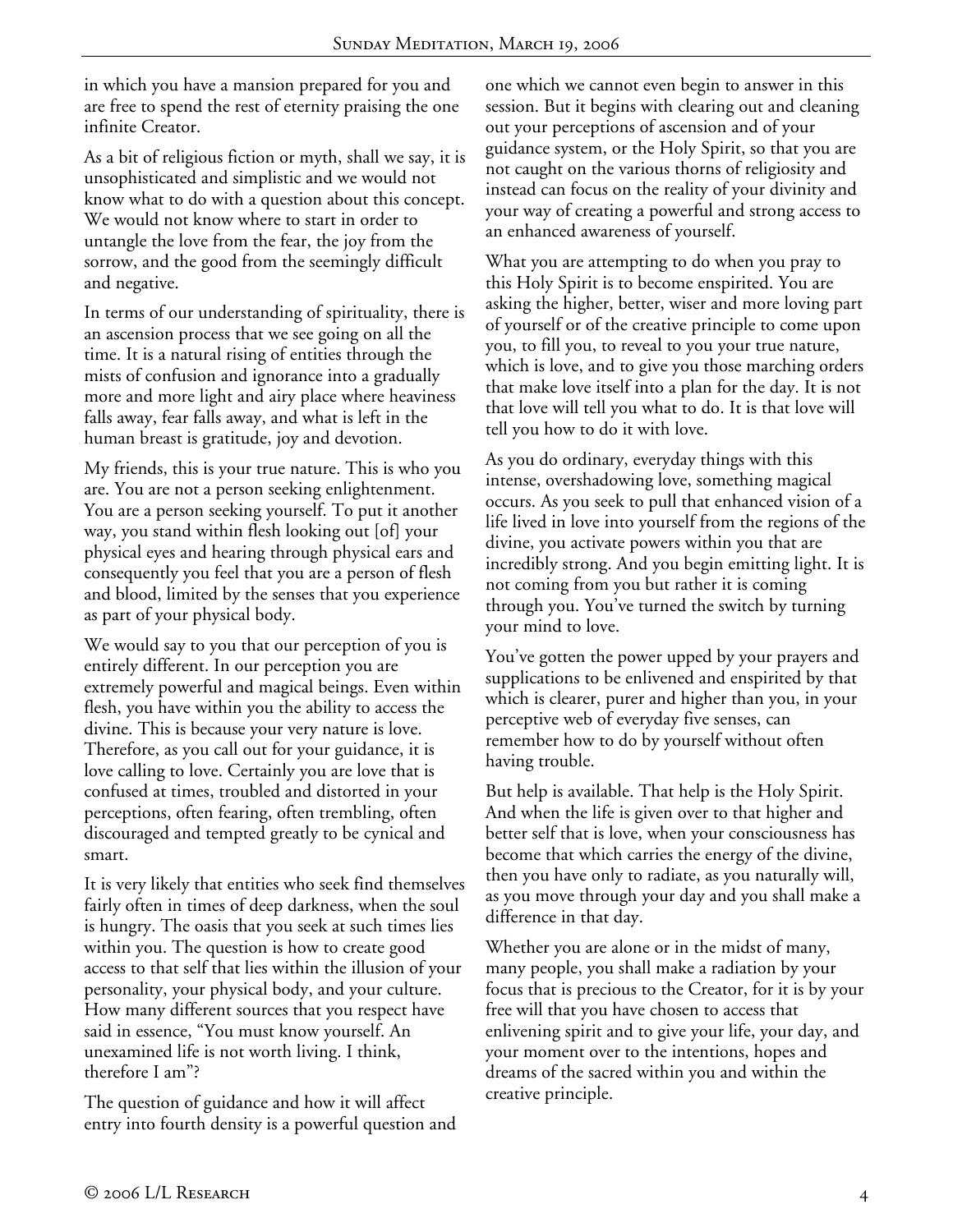in which you have a mansion prepared for you and are free to spend the rest of eternity praising the one infinite Creator.

As a bit of religious fiction or myth, shall we say, it is unsophisticated and simplistic and we would not know what to do with a question about this concept. We would not know where to start in order to untangle the love from the fear, the joy from the sorrow, and the good from the seemingly difficult and negative.

In terms of our understanding of spirituality, there is an ascension process that we see going on all the time. It is a natural rising of entities through the mists of confusion and ignorance into a gradually more and more light and airy place where heaviness falls away, fear falls away, and what is left in the human breast is gratitude, joy and devotion.

My friends, this is your true nature. This is who you are. You are not a person seeking enlightenment. You are a person seeking yourself. To put it another way, you stand within flesh looking out [of] your physical eyes and hearing through physical ears and consequently you feel that you are a person of flesh and blood, limited by the senses that you experience as part of your physical body.

We would say to you that our perception of you is entirely different. In our perception you are extremely powerful and magical beings. Even within flesh, you have within you the ability to access the divine. This is because your very nature is love. Therefore, as you call out for your guidance, it is love calling to love. Certainly you are love that is confused at times, troubled and distorted in your perceptions, often fearing, often trembling, often discouraged and tempted greatly to be cynical and smart.

It is very likely that entities who seek find themselves fairly often in times of deep darkness, when the soul is hungry. The oasis that you seek at such times lies within you. The question is how to create good access to that self that lies within the illusion of your personality, your physical body, and your culture. How many different sources that you respect have said in essence, "You must know yourself. An unexamined life is not worth living. I think, therefore I am"?

The question of guidance and how it will affect entry into fourth density is a powerful question and one which we cannot even begin to answer in this session. But it begins with clearing out and cleaning out your perceptions of ascension and of your guidance system, or the Holy Spirit, so that you are not caught on the various thorns of religiosity and instead can focus on the reality of your divinity and your way of creating a powerful and strong access to an enhanced awareness of yourself.

What you are attempting to do when you pray to this Holy Spirit is to become enspirited. You are asking the higher, better, wiser and more loving part of yourself or of the creative principle to come upon you, to fill you, to reveal to you your true nature, which is love, and to give you those marching orders that make love itself into a plan for the day. It is not that love will tell you what to do. It is that love will tell you how to do it with love.

As you do ordinary, everyday things with this intense, overshadowing love, something magical occurs. As you seek to pull that enhanced vision of a life lived in love into yourself from the regions of the divine, you activate powers within you that are incredibly strong. And you begin emitting light. It is not coming from you but rather it is coming through you. You've turned the switch by turning your mind to love.

You've gotten the power upped by your prayers and supplications to be enlivened and enspirited by that which is clearer, purer and higher than you, in your perceptive web of everyday five senses, can remember how to do by yourself without often having trouble.

But help is available. That help is the Holy Spirit. And when the life is given over to that higher and better self that is love, when your consciousness has become that which carries the energy of the divine, then you have only to radiate, as you naturally will, as you move through your day and you shall make a difference in that day.

Whether you are alone or in the midst of many, many people, you shall make a radiation by your focus that is precious to the Creator, for it is by your free will that you have chosen to access that enlivening spirit and to give your life, your day, and your moment over to the intentions, hopes and dreams of the sacred within you and within the creative principle.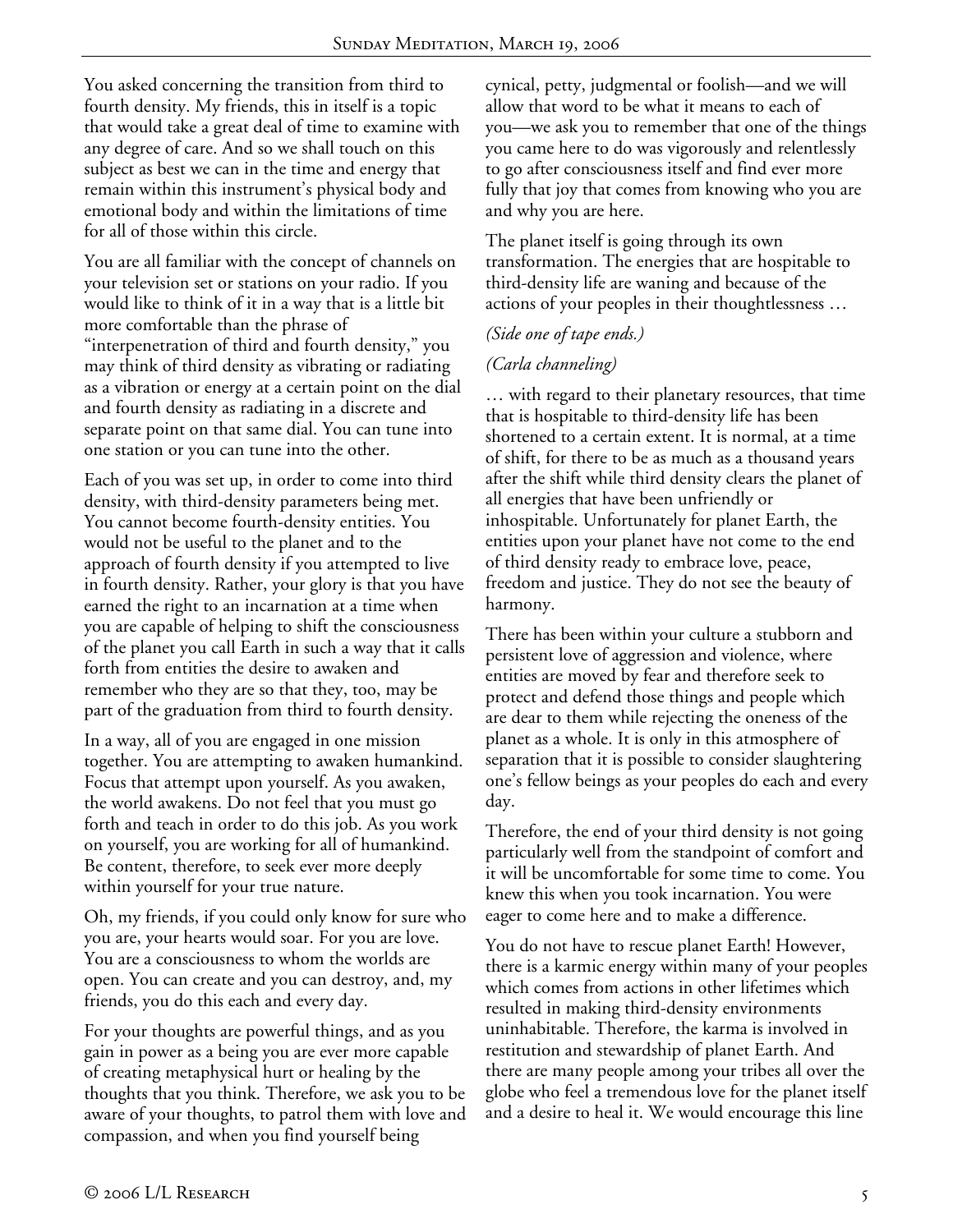You asked concerning the transition from third to fourth density. My friends, this in itself is a topic that would take a great deal of time to examine with any degree of care. And so we shall touch on this subject as best we can in the time and energy that remain within this instrument's physical body and emotional body and within the limitations of time for all of those within this circle.

You are all familiar with the concept of channels on your television set or stations on your radio. If you would like to think of it in a way that is a little bit more comfortable than the phrase of "interpenetration of third and fourth density," you may think of third density as vibrating or radiating as a vibration or energy at a certain point on the dial and fourth density as radiating in a discrete and separate point on that same dial. You can tune into one station or you can tune into the other.

Each of you was set up, in order to come into third density, with third-density parameters being met. You cannot become fourth-density entities. You would not be useful to the planet and to the approach of fourth density if you attempted to live in fourth density. Rather, your glory is that you have earned the right to an incarnation at a time when you are capable of helping to shift the consciousness of the planet you call Earth in such a way that it calls forth from entities the desire to awaken and remember who they are so that they, too, may be part of the graduation from third to fourth density.

In a way, all of you are engaged in one mission together. You are attempting to awaken humankind. Focus that attempt upon yourself. As you awaken, the world awakens. Do not feel that you must go forth and teach in order to do this job. As you work on yourself, you are working for all of humankind. Be content, therefore, to seek ever more deeply within yourself for your true nature.

Oh, my friends, if you could only know for sure who you are, your hearts would soar. For you are love. You are a consciousness to whom the worlds are open. You can create and you can destroy, and, my friends, you do this each and every day.

For your thoughts are powerful things, and as you gain in power as a being you are ever more capable of creating metaphysical hurt or healing by the thoughts that you think. Therefore, we ask you to be aware of your thoughts, to patrol them with love and compassion, and when you find yourself being

cynical, petty, judgmental or foolish—and we will allow that word to be what it means to each of you—we ask you to remember that one of the things you came here to do was vigorously and relentlessly to go after consciousness itself and find ever more fully that joy that comes from knowing who you are and why you are here.

The planet itself is going through its own transformation. The energies that are hospitable to third-density life are waning and because of the actions of your peoples in their thoughtlessness …

## *(Side one of tape ends.)*

## *(Carla channeling)*

… with regard to their planetary resources, that time that is hospitable to third-density life has been shortened to a certain extent. It is normal, at a time of shift, for there to be as much as a thousand years after the shift while third density clears the planet of all energies that have been unfriendly or inhospitable. Unfortunately for planet Earth, the entities upon your planet have not come to the end of third density ready to embrace love, peace, freedom and justice. They do not see the beauty of harmony.

There has been within your culture a stubborn and persistent love of aggression and violence, where entities are moved by fear and therefore seek to protect and defend those things and people which are dear to them while rejecting the oneness of the planet as a whole. It is only in this atmosphere of separation that it is possible to consider slaughtering one's fellow beings as your peoples do each and every day.

Therefore, the end of your third density is not going particularly well from the standpoint of comfort and it will be uncomfortable for some time to come. You knew this when you took incarnation. You were eager to come here and to make a difference.

You do not have to rescue planet Earth! However, there is a karmic energy within many of your peoples which comes from actions in other lifetimes which resulted in making third-density environments uninhabitable. Therefore, the karma is involved in restitution and stewardship of planet Earth. And there are many people among your tribes all over the globe who feel a tremendous love for the planet itself and a desire to heal it. We would encourage this line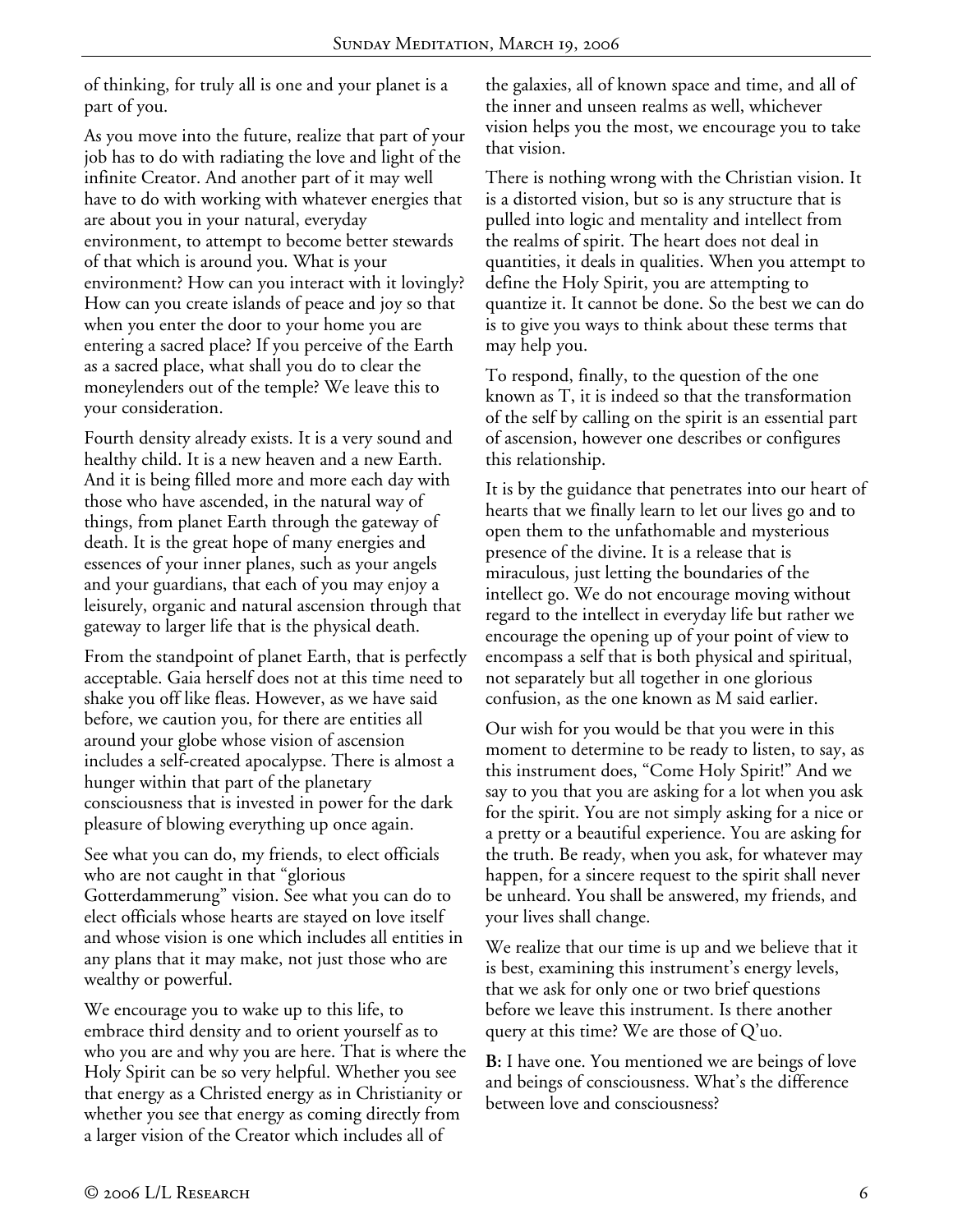of thinking, for truly all is one and your planet is a part of you.

As you move into the future, realize that part of your job has to do with radiating the love and light of the infinite Creator. And another part of it may well have to do with working with whatever energies that are about you in your natural, everyday environment, to attempt to become better stewards of that which is around you. What is your environment? How can you interact with it lovingly? How can you create islands of peace and joy so that when you enter the door to your home you are entering a sacred place? If you perceive of the Earth as a sacred place, what shall you do to clear the moneylenders out of the temple? We leave this to your consideration.

Fourth density already exists. It is a very sound and healthy child. It is a new heaven and a new Earth. And it is being filled more and more each day with those who have ascended, in the natural way of things, from planet Earth through the gateway of death. It is the great hope of many energies and essences of your inner planes, such as your angels and your guardians, that each of you may enjoy a leisurely, organic and natural ascension through that gateway to larger life that is the physical death.

From the standpoint of planet Earth, that is perfectly acceptable. Gaia herself does not at this time need to shake you off like fleas. However, as we have said before, we caution you, for there are entities all around your globe whose vision of ascension includes a self-created apocalypse. There is almost a hunger within that part of the planetary consciousness that is invested in power for the dark pleasure of blowing everything up once again.

See what you can do, my friends, to elect officials who are not caught in that "glorious Gotterdammerung" vision. See what you can do to elect officials whose hearts are stayed on love itself and whose vision is one which includes all entities in any plans that it may make, not just those who are wealthy or powerful.

We encourage you to wake up to this life, to embrace third density and to orient yourself as to who you are and why you are here. That is where the Holy Spirit can be so very helpful. Whether you see that energy as a Christed energy as in Christianity or whether you see that energy as coming directly from a larger vision of the Creator which includes all of

the galaxies, all of known space and time, and all of the inner and unseen realms as well, whichever vision helps you the most, we encourage you to take that vision.

There is nothing wrong with the Christian vision. It is a distorted vision, but so is any structure that is pulled into logic and mentality and intellect from the realms of spirit. The heart does not deal in quantities, it deals in qualities. When you attempt to define the Holy Spirit, you are attempting to quantize it. It cannot be done. So the best we can do is to give you ways to think about these terms that may help you.

To respond, finally, to the question of the one known as T, it is indeed so that the transformation of the self by calling on the spirit is an essential part of ascension, however one describes or configures this relationship.

It is by the guidance that penetrates into our heart of hearts that we finally learn to let our lives go and to open them to the unfathomable and mysterious presence of the divine. It is a release that is miraculous, just letting the boundaries of the intellect go. We do not encourage moving without regard to the intellect in everyday life but rather we encourage the opening up of your point of view to encompass a self that is both physical and spiritual, not separately but all together in one glorious confusion, as the one known as M said earlier.

Our wish for you would be that you were in this moment to determine to be ready to listen, to say, as this instrument does, "Come Holy Spirit!" And we say to you that you are asking for a lot when you ask for the spirit. You are not simply asking for a nice or a pretty or a beautiful experience. You are asking for the truth. Be ready, when you ask, for whatever may happen, for a sincere request to the spirit shall never be unheard. You shall be answered, my friends, and your lives shall change.

We realize that our time is up and we believe that it is best, examining this instrument's energy levels, that we ask for only one or two brief questions before we leave this instrument. Is there another query at this time? We are those of Q'uo.

**B:** I have one. You mentioned we are beings of love and beings of consciousness. What's the difference between love and consciousness?